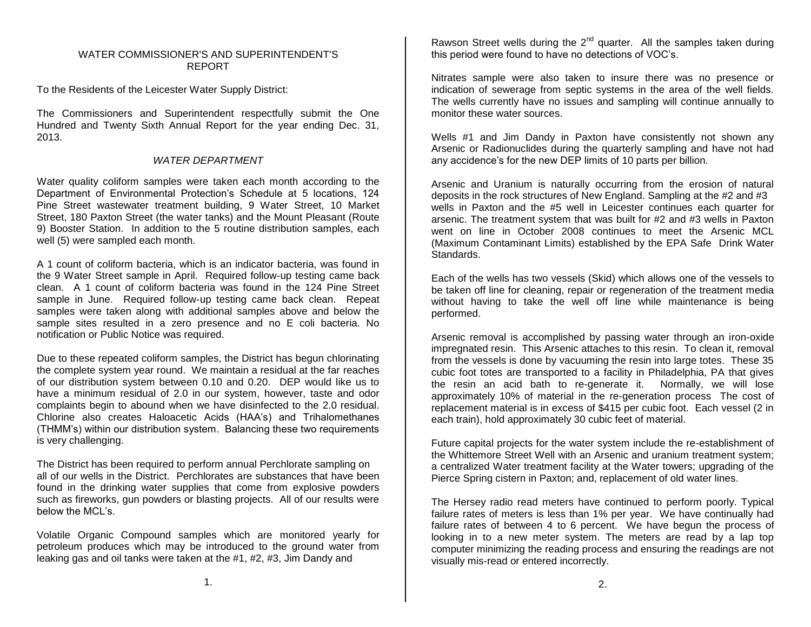## WATER COMMISSIONER'S AND SUPERINTENDENT'S REPORT

To the Residents of the Leicester Water Supply District:

The Commissioners and Superintendent respectfully submit the One Hundred and Twenty Sixth Annual Report for the year ending Dec. 31, 2013.

# *WATER DEPARTMENT*

Water quality coliform samples were taken each month according to the Department of Environmental Protection's Schedule at 5 locations, 124 Pine Street wastewater treatment building, 9 Water Street, 10 Market Street, 180 Paxton Street (the water tanks) and the Mount Pleasant (Route 9) Booster Station. In addition to the 5 routine distribution samples, each well (5) were sampled each month.

A 1 count of coliform bacteria, which is an indicator bacteria, was found in the 9 Water Street sample in April. Required follow-up testing came back clean. A 1 count of coliform bacteria was found in the 124 Pine Street sample in June. Required follow-up testing came back clean. Repeat samples were taken along with additional samples above and below the sample sites resulted in a zero presence and no E coli bacteria. No notification or Public Notice was required.

Due to these repeated coliform samples, the District has begun chlorinating the complete system year round. We maintain a residual at the far reaches of our distribution system between 0.10 and 0.20. DEP would like us to have a minimum residual of 2.0 in our system, however, taste and odor complaints begin to abound when we have disinfected to the 2.0 residual. Chlorine also creates Haloacetic Acids (HAA's) and Trihalomethanes (THMM's) within our distribution system. Balancing these two requirements is very challenging.

The District has been required to perform annual Perchlorate sampling on all of our wells in the District. Perchlorates are substances that have been found in the drinking water supplies that come from explosive powders such as fireworks, gun powders or blasting projects. All of our results were below the MCL's.

Volatile Organic Compound samples which are monitored yearly for petroleum produces which may be introduced to the ground water from leaking gas and oil tanks were taken at the #1, #2, #3, Jim Dandy and

Rawson Street wells during the  $2^{nd}$  quarter. All the samples taken during this period were found to have no detections of VOC's.

Nitrates sample were also taken to insure there was no presence or indication of sewerage from septic systems in the area of the well fields. The wells currently have no issues and sampling will continue annually to monitor these water sources.

Wells #1 and Jim Dandy in Paxton have consistently not shown any Arsenic or Radionuclides during the quarterly sampling and have not had any accidence's for the new DEP limits of 10 parts per billion.

Arsenic and Uranium is naturally occurring from the erosion of natural deposits in the rock structures of New England. Sampling at the #2 and #3 wells in Paxton and the #5 well in Leicester continues each quarter for arsenic. The treatment system that was built for #2 and #3 wells in Paxton went on line in October 2008 continues to meet the Arsenic MCL (Maximum Contaminant Limits) established by the EPA Safe Drink Water Standards.

Each of the wells has two vessels (Skid) which allows one of the vessels to be taken off line for cleaning, repair or regeneration of the treatment media without having to take the well off line while maintenance is being performed.

Arsenic removal is accomplished by passing water through an iron-oxide impregnated resin. This Arsenic attaches to this resin. To clean it, removal from the vessels is done by vacuuming the resin into large totes. These 35 cubic foot totes are transported to a facility in Philadelphia, PA that gives the resin an acid bath to re-generate it. Normally, we will lose approximately 10% of material in the re-generation process The cost of replacement material is in excess of \$415 per cubic foot. Each vessel (2 in each train), hold approximately 30 cubic feet of material.

Future capital projects for the water system include the re-establishment of the Whittemore Street Well with an Arsenic and uranium treatment system; a centralized Water treatment facility at the Water towers; upgrading of the Pierce Spring cistern in Paxton; and, replacement of old water lines.

The Hersey radio read meters have continued to perform poorly. Typical failure rates of meters is less than 1% per year. We have continually had failure rates of between 4 to 6 percent. We have begun the process of looking in to a new meter system. The meters are read by a lap top computer minimizing the reading process and ensuring the readings are not visually mis-read or entered incorrectly.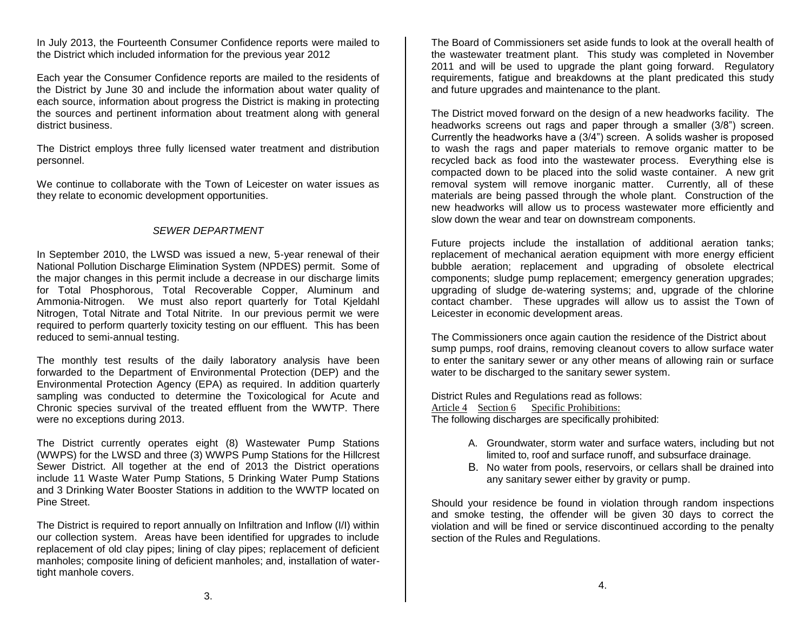In July 2013, the Fourteenth Consumer Confidence reports were mailed to the District which included information for the previous year 2012

Each year the Consumer Confidence reports are mailed to the residents of the District by June 30 and include the information about water quality of each source, information about progress the District is making in protecting the sources and pertinent information about treatment along with general district business.

The District employs three fully licensed water treatment and distribution personnel.

We continue to collaborate with the Town of Leicester on water issues as they relate to economic development opportunities.

## *SEWER DEPARTMENT*

In September 2010, the LWSD was issued a new, 5-year renewal of their National Pollution Discharge Elimination System (NPDES) permit. Some of the major changes in this permit include a decrease in our discharge limits for Total Phosphorous, Total Recoverable Copper, Aluminum and Ammonia-Nitrogen. We must also report quarterly for Total Kjeldahl Nitrogen, Total Nitrate and Total Nitrite. In our previous permit we were required to perform quarterly toxicity testing on our effluent. This has been reduced to semi-annual testing.

The monthly test results of the daily laboratory analysis have been forwarded to the Department of Environmental Protection (DEP) and the Environmental Protection Agency (EPA) as required. In addition quarterly sampling was conducted to determine the Toxicological for Acute and Chronic species survival of the treated effluent from the WWTP. There were no exceptions during 2013.

The District currently operates eight (8) Wastewater Pump Stations (WWPS) for the LWSD and three (3) WWPS Pump Stations for the Hillcrest Sewer District. All together at the end of 2013 the District operations include 11 Waste Water Pump Stations, 5 Drinking Water Pump Stations and 3 Drinking Water Booster Stations in addition to the WWTP located on Pine Street.

The District is required to report annually on Infiltration and Inflow (I/I) within our collection system. Areas have been identified for upgrades to include replacement of old clay pipes; lining of clay pipes; replacement of deficient manholes; composite lining of deficient manholes; and, installation of watertight manhole covers.

The Board of Commissioners set aside funds to look at the overall health of the wastewater treatment plant. This study was completed in November 2011 and will be used to upgrade the plant going forward. Regulatory requirements, fatigue and breakdowns at the plant predicated this study and future upgrades and maintenance to the plant.

The District moved forward on the design of a new headworks facility. The headworks screens out rags and paper through a smaller (3/8") screen. Currently the headworks have a (3/4") screen. A solids washer is proposed to wash the rags and paper materials to remove organic matter to be recycled back as food into the wastewater process. Everything else is compacted down to be placed into the solid waste container. A new grit removal system will remove inorganic matter. Currently, all of these materials are being passed through the whole plant. Construction of the new headworks will allow us to process wastewater more efficiently and slow down the wear and tear on downstream components.

Future projects include the installation of additional aeration tanks; replacement of mechanical aeration equipment with more energy efficient bubble aeration; replacement and upgrading of obsolete electrical components; sludge pump replacement; emergency generation upgrades; upgrading of sludge de-watering systems; and, upgrade of the chlorine contact chamber. These upgrades will allow us to assist the Town of Leicester in economic development areas.

The Commissioners once again caution the residence of the District about sump pumps, roof drains, removing cleanout covers to allow surface water to enter the sanitary sewer or any other means of allowing rain or surface water to be discharged to the sanitary sewer system.

District Rules and Regulations read as follows: Article 4 Section 6 Specific Prohibitions: The following discharges are specifically prohibited:

- A. Groundwater, storm water and surface waters, including but not limited to, roof and surface runoff, and subsurface drainage.
- B. No water from pools, reservoirs, or cellars shall be drained into any sanitary sewer either by gravity or pump.

Should your residence be found in violation through random inspections and smoke testing, the offender will be given 30 days to correct the violation and will be fined or service discontinued according to the penalty section of the Rules and Regulations.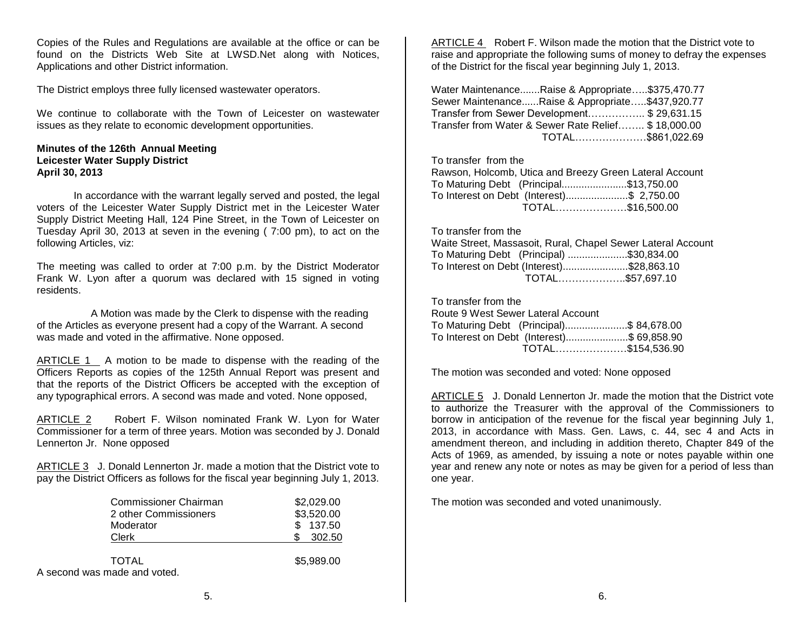Copies of the Rules and Regulations are available at the office or can be found on the Districts Web Site at LWSD.Net along with Notices, Applications and other District information.

The District employs three fully licensed wastewater operators.

We continue to collaborate with the Town of Leicester on wastewater issues as they relate to economic development opportunities.

## **Minutes of the 126th Annual Meeting Leicester Water Supply District April 30, 2013**

In accordance with the warrant legally served and posted, the legal voters of the Leicester Water Supply District met in the Leicester Water Supply District Meeting Hall, 124 Pine Street, in the Town of Leicester on Tuesday April 30, 2013 at seven in the evening ( 7:00 pm), to act on the following Articles, viz:

The meeting was called to order at 7:00 p.m. by the District Moderator Frank W. Lyon after a quorum was declared with 15 signed in voting residents.

 A Motion was made by the Clerk to dispense with the reading of the Articles as everyone present had a copy of the Warrant. A second was made and voted in the affirmative. None opposed.

ARTICLE 1 A motion to be made to dispense with the reading of the Officers Reports as copies of the 125th Annual Report was present and that the reports of the District Officers be accepted with the exception of any typographical errors. A second was made and voted. None opposed,

ARTICLE 2 Robert F. Wilson nominated Frank W. Lyon for Water Commissioner for a term of three years. Motion was seconded by J. Donald Lennerton Jr. None opposed

ARTICLE 3 J. Donald Lennerton Jr. made a motion that the District vote to pay the District Officers as follows for the fiscal year beginning July 1, 2013.

| Commissioner Chairman<br>2 other Commissioners | \$2,029.00<br>\$3,520.00 |  |
|------------------------------------------------|--------------------------|--|
| Moderator                                      | 137.50                   |  |
| Clerk                                          | 302.50                   |  |
| <b>TOTAL</b><br>A second was made and voted.   | \$5,989.00               |  |

ARTICLE 4 Robert F. Wilson made the motion that the District vote to raise and appropriate the following sums of money to defray the expenses of the District for the fiscal year beginning July 1, 2013.

Water Maintenance.......Raise & Appropriate…..\$375,470.77 Sewer Maintenance......Raise & Appropriate…..\$437,920.77 Transfer from Sewer Development…………….. \$ 29,631.15 Transfer from Water & Sewer Rate Relief…….. \$ 18,000.00 TOTAL…………………\$861,022.69

#### To transfer from the

| Rawson, Holcomb, Utica and Breezy Green Lateral Account |                  |
|---------------------------------------------------------|------------------|
| To Maturing Debt (Principal\$13,750.00                  |                  |
| To Interest on Debt (Interest)\$ 2,750.00               |                  |
|                                                         | TOTAL\$16,500.00 |

## To transfer from the

|                                           | Waite Street, Massasoit, Rural, Chapel Sewer Lateral Account |
|-------------------------------------------|--------------------------------------------------------------|
| To Maturing Debt (Principal) \$30,834.00  |                                                              |
| To Interest on Debt (Interest)\$28,863.10 |                                                              |
|                                           | TOTAL\$57,697.10                                             |

To transfer from the

| Route 9 West Sewer Lateral Account         |  |
|--------------------------------------------|--|
| To Maturing Debt (Principal)\$ 84,678.00   |  |
| To Interest on Debt (Interest)\$ 69,858.90 |  |
| TOTAL\$154,536.90                          |  |

The motion was seconded and voted: None opposed

ARTICLE 5 J. Donald Lennerton Jr. made the motion that the District vote to authorize the Treasurer with the approval of the Commissioners to borrow in anticipation of the revenue for the fiscal year beginning July 1, 2013, in accordance with Mass. Gen. Laws, c. 44, sec 4 and Acts in amendment thereon, and including in addition thereto, Chapter 849 of the Acts of 1969, as amended, by issuing a note or notes payable within one year and renew any note or notes as may be given for a period of less than one year.

The motion was seconded and voted unanimously.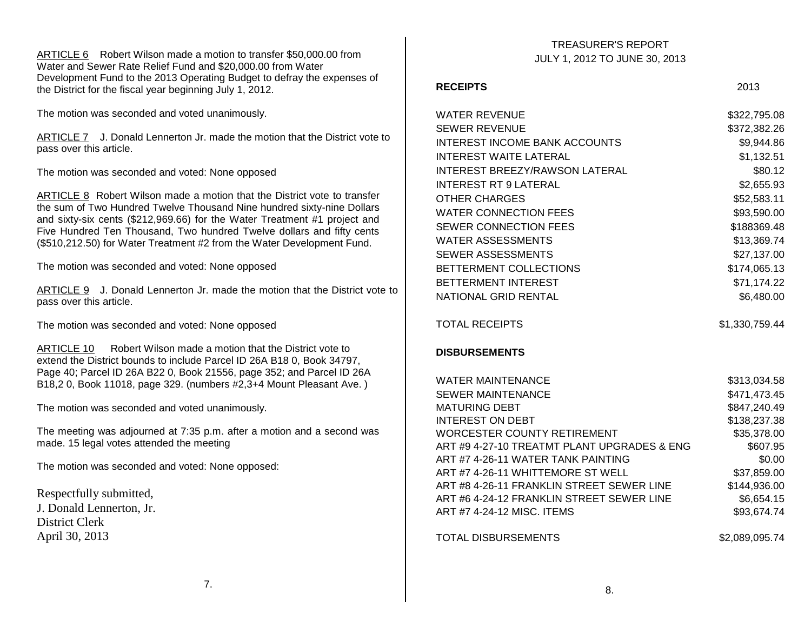ARTICLE 6 Robert Wilson made a motion to transfer \$50,000.00 from Water and Sewer Rate Relief Fund and \$20,000.00 from Water Development Fund to the 2013 Operating Budget to defray the expenses of the District for the fiscal year beginning July 1, 2012.

The motion was seconded and voted unanimously.

ARTICLE 7 J. Donald Lennerton Jr. made the motion that the District vote to pass over this article.

The motion was seconded and voted: None opposed

ARTICLE 8 Robert Wilson made a motion that the District vote to transfer the sum of Two Hundred Twelve Thousand Nine hundred sixty-nine Dollars and sixty-six cents (\$212,969.66) for the Water Treatment #1 project and Five Hundred Ten Thousand, Two hundred Twelve dollars and fifty cents (\$510,212.50) for Water Treatment #2 from the Water Development Fund.

The motion was seconded and voted: None opposed

ARTICLE 9 J. Donald Lennerton Jr. made the motion that the District vote to pass over this article.

The motion was seconded and voted: None opposed

ARTICLE 10 Robert Wilson made a motion that the District vote to extend the District bounds to include Parcel ID 26A B18 0, Book 34797, Page 40; Parcel ID 26A B22 0, Book 21556, page 352; and Parcel ID 26A B18,2 0, Book 11018, page 329. (numbers #2,3+4 Mount Pleasant Ave. )

The motion was seconded and voted unanimously.

The meeting was adjourned at 7:35 p.m. after a motion and a second was made. 15 legal votes attended the meeting

The motion was seconded and voted: None opposed:

Respectfully submitted, J. Donald Lennerton, Jr. District Clerk April 30, 2013

## TREASURER'S REPORT JULY 1, 2012 TO JUNE 30, 2013

#### **RECEIPTS** 2013

| <b>WATER REVENUE</b>                        | \$322,795.08   |
|---------------------------------------------|----------------|
| <b>SEWER REVENUE</b>                        | \$372,382.26   |
| <b>INTEREST INCOME BANK ACCOUNTS</b>        | \$9,944.86     |
| <b>INTEREST WAITE LATERAL</b>               | \$1,132.51     |
| <b>INTEREST BREEZY/RAWSON LATERAL</b>       | \$80.12        |
| INTEREST RT 9 LATERAL                       | \$2,655.93     |
| <b>OTHER CHARGES</b>                        | \$52,583.11    |
| <b>WATER CONNECTION FEES</b>                | \$93,590.00    |
| <b>SEWER CONNECTION FEES</b>                | \$188369.48    |
| <b>WATER ASSESSMENTS</b>                    | \$13,369.74    |
| <b>SEWER ASSESSMENTS</b>                    | \$27,137.00    |
| BETTERMENT COLLECTIONS                      | \$174,065.13   |
| <b>BETTERMENT INTEREST</b>                  | \$71,174.22    |
| NATIONAL GRID RENTAL                        | \$6,480.00     |
|                                             |                |
| <b>TOTAL RECEIPTS</b>                       | \$1,330,759.44 |
| <b>DISBURSEMENTS</b>                        |                |
| <b>WATER MAINTENANCE</b>                    | \$313,034.58   |
| <b>SEWER MAINTENANCE</b>                    | \$471,473.45   |
| <b>MATURING DEBT</b>                        | \$847,240.49   |
| <b>INTEREST ON DEBT</b>                     | \$138,237.38   |
| <b>WORCESTER COUNTY RETIREMENT</b>          | \$35,378.00    |
| ART #9 4-27-10 TREATMT PLANT UPGRADES & ENG | \$607.95       |
| ART #7 4-26-11 WATER TANK PAINTING          | \$0.00         |
| ART #7 4-26-11 WHITTEMORE ST WELL           | \$37,859.00    |
| ART #8 4-26-11 FRANKLIN STREET SEWER LINE   | \$144,936.00   |
| ART #6 4-24-12 FRANKLIN STREET SEWER LINE   | \$6,654.15     |
| ART #7 4-24-12 MISC. ITEMS                  | \$93,674.74    |
| <b>TOTAL DISBURSEMENTS</b>                  | \$2,089,095.74 |